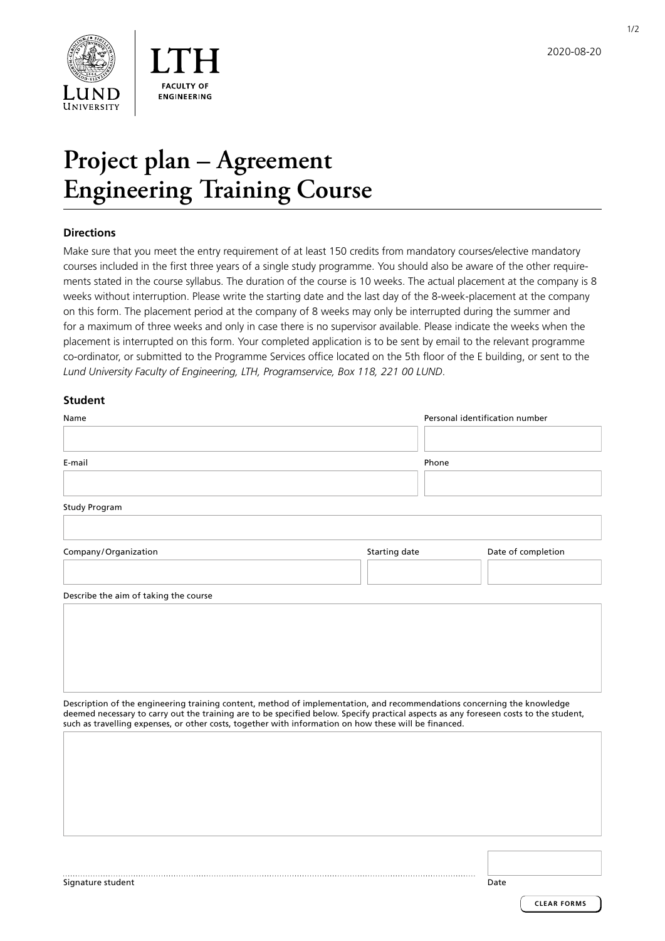

1/2

# **Project plan – Agreement Engineering Training Course**

## **Directions**

Make sure that you meet the entry requirement of at least 150 credits from mandatory courses/elective mandatory courses included in the first three years of a single study programme. You should also be aware of the other requirements stated in the course syllabus. The duration of the course is 10 weeks. The actual placement at the company is 8 weeks without interruption. Please write the starting date and the last day of the 8-week-placement at the company on this form. The placement period at the company of 8 weeks may only be interrupted during the summer and for a maximum of three weeks and only in case there is no supervisor available. Please indicate the weeks when the placement is interrupted on this form. Your completed application is to be sent by email to the relevant programme co-ordinator, or submitted to the Programme Services office located on the 5th floor of the E building, or sent to the *Lund University Faculty of Engineering, LTH, Programservice, Box 118, 221 00 LUND*.

## **Student**

| Name                                                                                                                                                                                                                                           |               | Personal identification number |  |
|------------------------------------------------------------------------------------------------------------------------------------------------------------------------------------------------------------------------------------------------|---------------|--------------------------------|--|
| E-mail                                                                                                                                                                                                                                         |               | Phone                          |  |
| <b>Study Program</b>                                                                                                                                                                                                                           |               |                                |  |
| Company/Organization                                                                                                                                                                                                                           | Starting date | Date of completion             |  |
| Describe the aim of taking the course                                                                                                                                                                                                          |               |                                |  |
|                                                                                                                                                                                                                                                |               |                                |  |
| Description of the engineering training content, method of implementation, and recommendations concerning the knowledge                                                                                                                        |               |                                |  |
| deemed necessary to carry out the training are to be specified below. Specify practical aspects as any foreseen costs to the student,<br>such as travelling expenses, or other costs, together with information on how these will be financed. |               |                                |  |
|                                                                                                                                                                                                                                                |               |                                |  |

Signature student Date Date of the United States of the United States of the United States of the United States of the United States of the United States of the United States of the United States of the United States of th